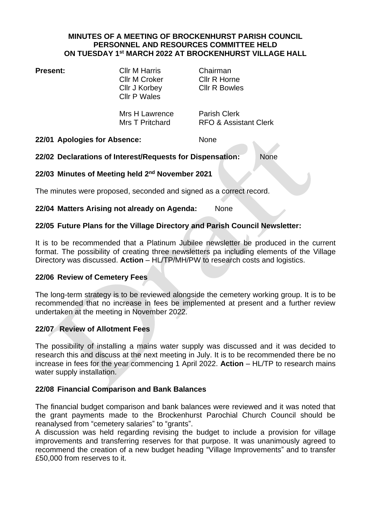#### **MINUTES OF A MEETING OF BROCKENHURST PARISH COUNCIL PERSONNEL AND RESOURCES COMMITTEE HELD ON TUESDAY 1 st MARCH 2022 AT BROCKENHURST VILLAGE HALL**

**Present:** Cllr M Harris Chairman Cllr M Croker Cllr R Horne Cllr J Korbey Cllr R Bowles Cllr P Wales

Mrs H Lawrence Parish Clerk

Mrs T Pritchard RFO & Assistant Clerk

**22/01 Apologies for Absence:** None

## **22/02 Declarations of Interest/Requests for Dispensation:** None

# **22/03 Minutes of Meeting held 2 nd November 2021**

The minutes were proposed, seconded and signed as a correct record.

## **22/04 Matters Arising not already on Agenda:** None

## **22/05 Future Plans for the Village Directory and Parish Council Newsletter:**

It is to be recommended that a Platinum Jubilee newsletter be produced in the current format. The possibility of creating three newsletters pa including elements of the Village Directory was discussed. **Action** – HL/TP/MH/PW to research costs and logistics.

#### **22/06 Review of Cemetery Fees**

The long-term strategy is to be reviewed alongside the cemetery working group. It is to be recommended that no increase in fees be implemented at present and a further review undertaken at the meeting in November 2022.

## **22/07 Review of Allotment Fees**

The possibility of installing a mains water supply was discussed and it was decided to research this and discuss at the next meeting in July. It is to be recommended there be no increase in fees for the year commencing 1 April 2022. **Action** – HL/TP to research mains water supply installation.

#### **22/08 Financial Comparison and Bank Balances**

The financial budget comparison and bank balances were reviewed and it was noted that the grant payments made to the Brockenhurst Parochial Church Council should be reanalysed from "cemetery salaries" to "grants".

A discussion was held regarding revising the budget to include a provision for village improvements and transferring reserves for that purpose. It was unanimously agreed to recommend the creation of a new budget heading "Village Improvements" and to transfer £50,000 from reserves to it.